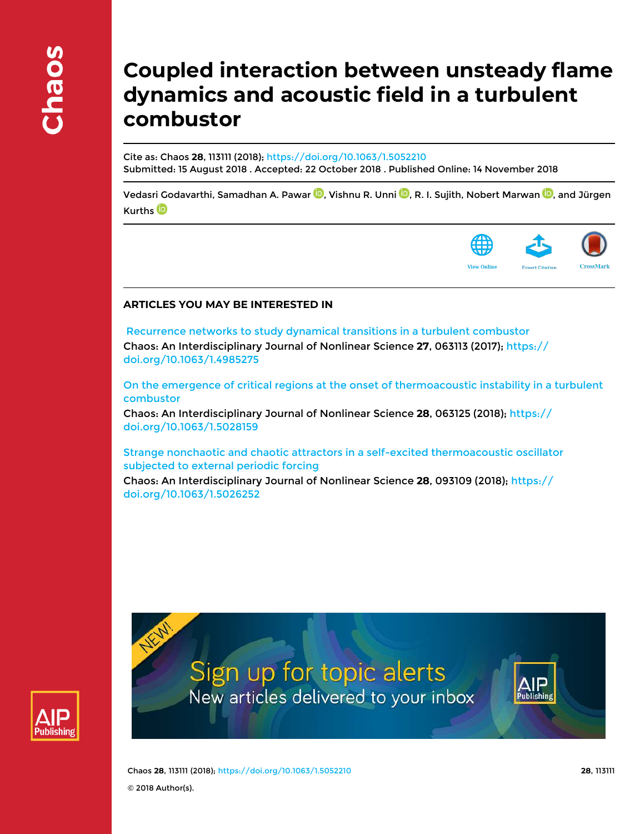# **Coupled interaction between unsteady flame dynamics and acoustic field in a turbulent combustor**

Cite as: Chaos **28**, 113111 (2018); https://doi.org/10.1063/1.5052210 Submitted: 15 August 2018 . Accepted: 22 October 2018 . Published Online: 14 November 2018

Vedasri Godavarthi, Samadhan A. Pawar **D**, Vishnu R. Unni **D**, R. I. Sujith, Nobert Marwan **D**, and Jürgen Kurths<sup>D</sup>



# **ARTICLES YOU MAY BE INTERESTED IN**

 Recurrence networks to study dynamical transitions in a turbulent combustor Chaos: An Interdisciplinary Journal of Nonlinear Science **27**, 063113 (2017); https:// doi.org/10.1063/1.4985275

On the emergence of critical regions at the onset of thermoacoustic instability in a turbulent combustor

Chaos: An Interdisciplinary Journal of Nonlinear Science **28**, 063125 (2018); https:// doi.org/10.1063/1.5028159

Strange nonchaotic and chaotic attractors in a self-excited thermoacoustic oscillator subjected to external periodic forcing

Chaos: An Interdisciplinary Journal of Nonlinear Science **28**, 093109 (2018); https:// doi.org/10.1063/1.5026252



Sign up for topic alerts New articles delivered to your inbox



Chaos **28**, 113111 (2018); https://doi.org/10.1063/1.5052210 **28**, 113111 © 2018 Author(s).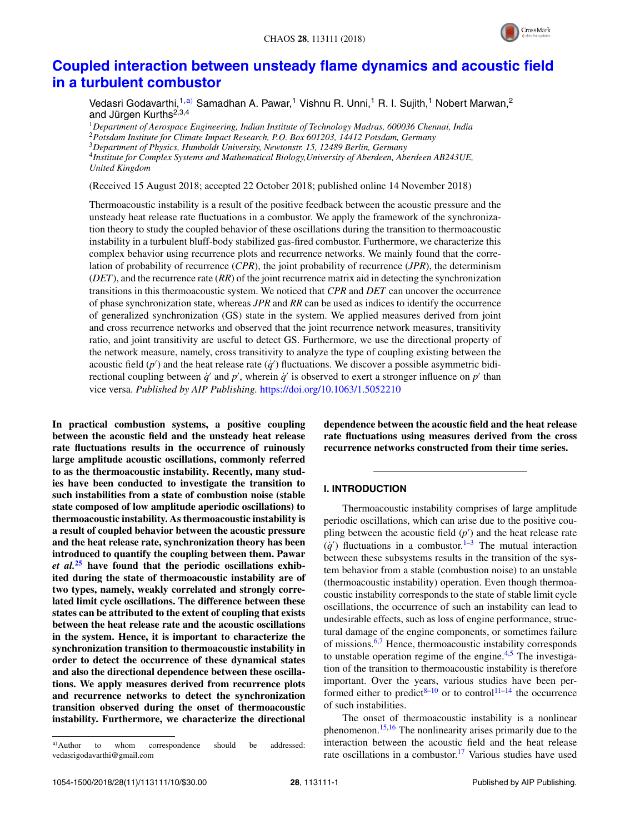

# **Coupled interaction between unsteady flame dynamics and acoustic field in a turbulent combustor**

Vedasri Godavarthi,<sup>1,a)</sup> Samadhan A. Pawar,<sup>1</sup> Vishnu R. Unni,<sup>1</sup> R. I. Sujith,<sup>1</sup> Nobert Marwan,<sup>2</sup> and Jürgen Kurths<sup>2,3,4</sup>

*Department of Aerospace Engineering, Indian Institute of Technology Madras, 600036 Chennai, India Potsdam Institute for Climate Impact Research, P.O. Box 601203, 14412 Potsdam, Germany Department of Physics, Humboldt University, Newtonstr. 15, 12489 Berlin, Germany Institute for Complex Systems and Mathematical Biology,University of Aberdeen, Aberdeen AB243UE, United Kingdom*

(Received 15 August 2018; accepted 22 October 2018; published online 14 November 2018)

Thermoacoustic instability is a result of the positive feedback between the acoustic pressure and the unsteady heat release rate fluctuations in a combustor. We apply the framework of the synchronization theory to study the coupled behavior of these oscillations during the transition to thermoacoustic instability in a turbulent bluff-body stabilized gas-fired combustor. Furthermore, we characterize this complex behavior using recurrence plots and recurrence networks. We mainly found that the correlation of probability of recurrence (*CPR*), the joint probability of recurrence (*JPR*), the determinism (*DET*), and the recurrence rate (*RR*) of the joint recurrence matrix aid in detecting the synchronization transitions in this thermoacoustic system. We noticed that *CPR* and *DET* can uncover the occurrence of phase synchronization state, whereas *JPR* and *RR* can be used as indices to identify the occurrence of generalized synchronization (GS) state in the system. We applied measures derived from joint and cross recurrence networks and observed that the joint recurrence network measures, transitivity ratio, and joint transitivity are useful to detect GS. Furthermore, we use the directional property of the network measure, namely, cross transitivity to analyze the type of coupling existing between the acoustic field  $(p')$  and the heat release rate  $(q')$  fluctuations. We discover a possible asymmetric bidirectional coupling between  $\dot{q}'$  and  $p'$ , wherein  $\dot{q}'$  is observed to exert a stronger influence on  $p'$  than vice versa. *Published by AIP Publishing.* https://doi.org/10.1063/1.5052210

**In practical combustion systems, a positive coupling between the acoustic field and the unsteady heat release rate fluctuations results in the occurrence of ruinously large amplitude acoustic oscillations, commonly referred to as the thermoacoustic instability. Recently, many studies have been conducted to investigate the transition to such instabilities from a state of combustion noise (stable state composed of low amplitude aperiodic oscillations) to thermoacoustic instability. As thermoacoustic instability is a result of coupled behavior between the acoustic pressure and the heat release rate, synchronization theory has been introduced to quantify the coupling between them. Pawar** *et al.***<sup>25</sup> have found that the periodic oscillations exhibited during the state of thermoacoustic instability are of two types, namely, weakly correlated and strongly correlated limit cycle oscillations. The difference between these states can be attributed to the extent of coupling that exists between the heat release rate and the acoustic oscillations in the system. Hence, it is important to characterize the synchronization transition to thermoacoustic instability in order to detect the occurrence of these dynamical states and also the directional dependence between these oscillations. We apply measures derived from recurrence plots and recurrence networks to detect the synchronization transition observed during the onset of thermoacoustic instability. Furthermore, we characterize the directional**

**dependence between the acoustic field and the heat release rate fluctuations using measures derived from the cross recurrence networks constructed from their time series.**

# **I. INTRODUCTION**

Thermoacoustic instability comprises of large amplitude periodic oscillations, which can arise due to the positive coupling between the acoustic field  $(p')$  and the heat release rate  $(q')$  fluctuations in a combustor.<sup>1–3</sup> The mutual interaction between these subsystems results in the transition of the system behavior from a stable (combustion noise) to an unstable (thermoacoustic instability) operation. Even though thermoacoustic instability corresponds to the state of stable limit cycle oscillations, the occurrence of such an instability can lead to undesirable effects, such as loss of engine performance, structural damage of the engine components, or sometimes failure of missions.6,7 Hence, thermoacoustic instability corresponds to unstable operation regime of the engine. $4,5$  The investigation of the transition to thermoacoustic instability is therefore important. Over the years, various studies have been performed either to predict<sup>8–10</sup> or to control<sup>11–14</sup> the occurrence of such instabilities.

The onset of thermoacoustic instability is a nonlinear phenomenon.15,16 The nonlinearity arises primarily due to the interaction between the acoustic field and the heat release rate oscillations in a combustor.<sup>17</sup> Various studies have used

a)Author to whom correspondence should be addressed: vedasrigodavarthi@gmail.com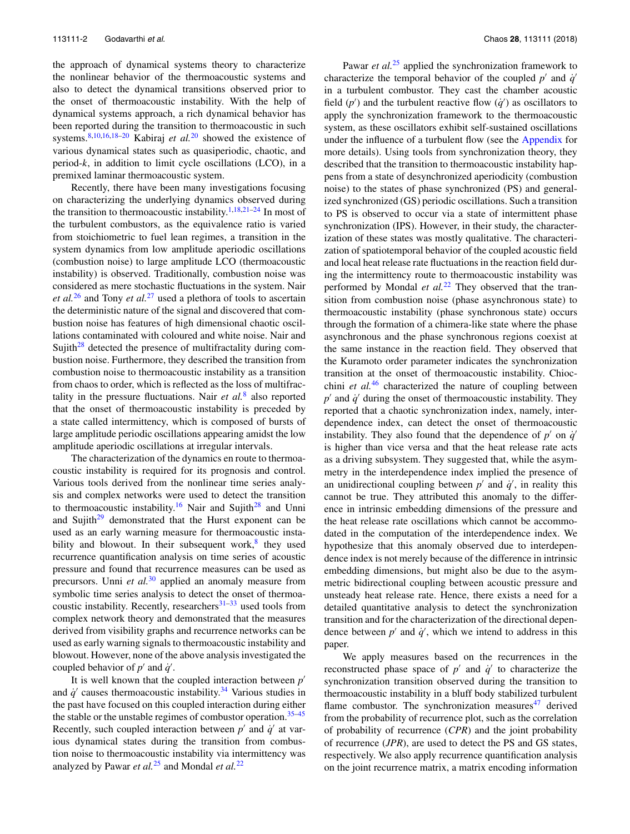the approach of dynamical systems theory to characterize the nonlinear behavior of the thermoacoustic systems and also to detect the dynamical transitions observed prior to the onset of thermoacoustic instability. With the help of dynamical systems approach, a rich dynamical behavior has been reported during the transition to thermoacoustic in such systems.8,10,16,18–20 Kabiraj *et al.*<sup>20</sup> showed the existence of various dynamical states such as quasiperiodic, chaotic, and period-*k*, in addition to limit cycle oscillations (LCO), in a premixed laminar thermoacoustic system.

Recently, there have been many investigations focusing on characterizing the underlying dynamics observed during the transition to thermoacoustic instability.<sup>1,18,21–24</sup> In most of the turbulent combustors, as the equivalence ratio is varied from stoichiometric to fuel lean regimes, a transition in the system dynamics from low amplitude aperiodic oscillations (combustion noise) to large amplitude LCO (thermoacoustic instability) is observed. Traditionally, combustion noise was considered as mere stochastic fluctuations in the system. Nair *et al.*<sup>26</sup> and Tony *et al.*<sup>27</sup> used a plethora of tools to ascertain the deterministic nature of the signal and discovered that combustion noise has features of high dimensional chaotic oscillations contaminated with coloured and white noise. Nair and Sujith<sup>28</sup> detected the presence of multifractality during combustion noise. Furthermore, they described the transition from combustion noise to thermoacoustic instability as a transition from chaos to order, which is reflected as the loss of multifractality in the pressure fluctuations. Nair *et al.*<sup>8</sup> also reported that the onset of thermoacoustic instability is preceded by a state called intermittency, which is composed of bursts of large amplitude periodic oscillations appearing amidst the low amplitude aperiodic oscillations at irregular intervals.

The characterization of the dynamics en route to thermoacoustic instability is required for its prognosis and control. Various tools derived from the nonlinear time series analysis and complex networks were used to detect the transition to thermoacoustic instability.<sup>16</sup> Nair and Sujith<sup>28</sup> and Unni and Sujith $^{29}$  demonstrated that the Hurst exponent can be used as an early warning measure for thermoacoustic instability and blowout. In their subsequent work,<sup>8</sup> they used recurrence quantification analysis on time series of acoustic pressure and found that recurrence measures can be used as precursors. Unni *et al.*<sup>30</sup> applied an anomaly measure from symbolic time series analysis to detect the onset of thermoacoustic instability. Recently, researchers $31-33$  used tools from complex network theory and demonstrated that the measures derived from visibility graphs and recurrence networks can be used as early warning signals to thermoacoustic instability and blowout. However, none of the above analysis investigated the coupled behavior of  $p'$  and  $\dot{q}'$ .

It is well known that the coupled interaction between *p* ′ and  $\dot{q}'$  causes thermoacoustic instability.<sup>34</sup> Various studies in the past have focused on this coupled interaction during either the stable or the unstable regimes of combustor operation.<sup>35–45</sup> Recently, such coupled interaction between  $p'$  and  $\dot{q}'$  at various dynamical states during the transition from combustion noise to thermoacoustic instability via intermittency was analyzed by Pawar *et al.*<sup>25</sup> and Mondal *et al.*<sup>22</sup>

Pawar *et al.*<sup>25</sup> applied the synchronization framework to characterize the temporal behavior of the coupled  $p'$  and  $\dot{q}'$ in a turbulent combustor. They cast the chamber acoustic field  $(p')$  and the turbulent reactive flow  $(q')$  as oscillators to apply the synchronization framework to the thermoacoustic system, as these oscillators exhibit self-sustained oscillations under the influence of a turbulent flow (see the Appendix for more details). Using tools from synchronization theory, they described that the transition to thermoacoustic instability happens from a state of desynchronized aperiodicity (combustion noise) to the states of phase synchronized (PS) and generalized synchronized (GS) periodic oscillations. Such a transition to PS is observed to occur via a state of intermittent phase synchronization (IPS). However, in their study, the characterization of these states was mostly qualitative. The characterization of spatiotemporal behavior of the coupled acoustic field and local heat release rate fluctuations in the reaction field during the intermittency route to thermoacoustic instability was performed by Mondal *et al.*<sup>22</sup> They observed that the transition from combustion noise (phase asynchronous state) to thermoacoustic instability (phase synchronous state) occurs through the formation of a chimera-like state where the phase asynchronous and the phase synchronous regions coexist at the same instance in the reaction field. They observed that the Kuramoto order parameter indicates the synchronization transition at the onset of thermoacoustic instability. Chiocchini *et al.*<sup>46</sup> characterized the nature of coupling between  $p'$  and  $\dot{q}'$  during the onset of thermoacoustic instability. They reported that a chaotic synchronization index, namely, interdependence index, can detect the onset of thermoacoustic instability. They also found that the dependence of  $p'$  on  $\dot{q}'$ is higher than vice versa and that the heat release rate acts as a driving subsystem. They suggested that, while the asymmetry in the interdependence index implied the presence of an unidirectional coupling between  $p'$  and  $\dot{q}'$ , in reality this cannot be true. They attributed this anomaly to the difference in intrinsic embedding dimensions of the pressure and the heat release rate oscillations which cannot be accommodated in the computation of the interdependence index. We hypothesize that this anomaly observed due to interdependence index is not merely because of the difference in intrinsic embedding dimensions, but might also be due to the asymmetric bidirectional coupling between acoustic pressure and unsteady heat release rate. Hence, there exists a need for a detailed quantitative analysis to detect the synchronization transition and for the characterization of the directional dependence between  $p'$  and  $\dot{q}'$ , which we intend to address in this paper.

We apply measures based on the recurrences in the reconstructed phase space of  $p'$  and  $\dot{q}'$  to characterize the synchronization transition observed during the transition to thermoacoustic instability in a bluff body stabilized turbulent flame combustor. The synchronization measures $47$  derived from the probability of recurrence plot, such as the correlation of probability of recurrence (*CPR*) and the joint probability of recurrence (*JPR*), are used to detect the PS and GS states, respectively. We also apply recurrence quantification analysis on the joint recurrence matrix, a matrix encoding information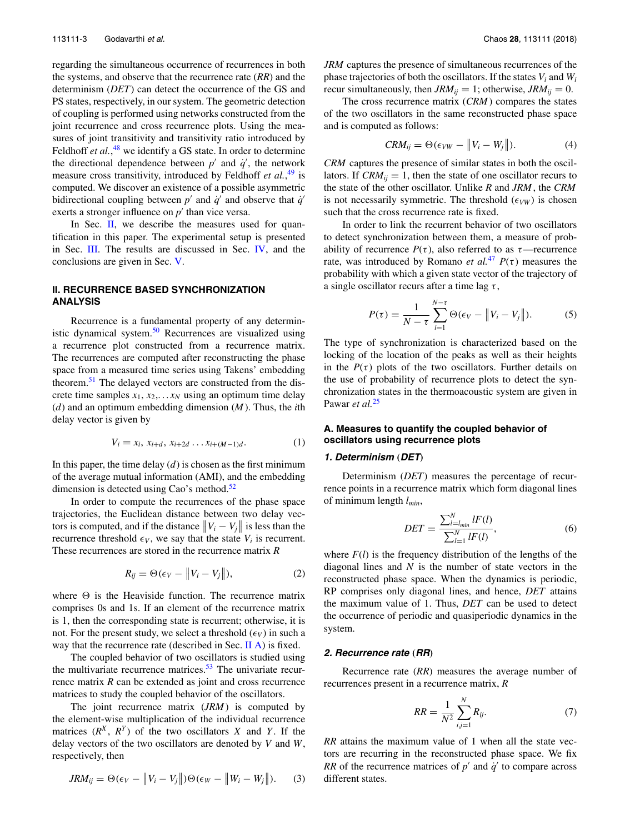regarding the simultaneous occurrence of recurrences in both the systems, and observe that the recurrence rate (*RR*) and the determinism (*DET*) can detect the occurrence of the GS and PS states, respectively, in our system. The geometric detection of coupling is performed using networks constructed from the joint recurrence and cross recurrence plots. Using the measures of joint transitivity and transitivity ratio introduced by Feldhoff *et al.*,<sup>48</sup> we identify a GS state. In order to determine the directional dependence between  $p'$  and  $\dot{q}'$ , the network measure cross transitivity, introduced by Feldhoff *et al.*, <sup>49</sup> is computed. We discover an existence of a possible asymmetric bidirectional coupling between  $p'$  and  $q'$  and observe that  $q'$ exerts a stronger influence on  $p'$  than vice versa.

In Sec.  $II$ , we describe the measures used for quantification in this paper. The experimental setup is presented in Sec. III. The results are discussed in Sec. IV, and the conclusions are given in Sec. V.

# **II. RECURRENCE BASED SYNCHRONIZATION ANALYSIS**

Recurrence is a fundamental property of any deterministic dynamical system.<sup>50</sup> Recurrences are visualized using a recurrence plot constructed from a recurrence matrix. The recurrences are computed after reconstructing the phase space from a measured time series using Takens' embedding theorem.<sup>51</sup> The delayed vectors are constructed from the discrete time samples  $x_1, x_2, \ldots x_N$  using an optimum time delay (*d*) and an optimum embedding dimension (*M*). Thus, the *i*th delay vector is given by

$$
V_i = x_i, x_{i+d}, x_{i+2d} \dots x_{i+(M-1)d}.
$$
 (1)

In this paper, the time delay  $(d)$  is chosen as the first minimum of the average mutual information (AMI), and the embedding dimension is detected using Cao's method. $52$ 

In order to compute the recurrences of the phase space trajectories, the Euclidean distance between two delay vectors is computed, and if the distance  $||V_i - V_j||$  is less than the recurrence threshold  $\epsilon_V$ , we say that the state  $V_i$  is recurrent. These recurrences are stored in the recurrence matrix *R*

$$
R_{ij} = \Theta(\epsilon_V - ||V_i - V_j||), \qquad (2)
$$

where  $\Theta$  is the Heaviside function. The recurrence matrix comprises 0s and 1s. If an element of the recurrence matrix is 1, then the corresponding state is recurrent; otherwise, it is not. For the present study, we select a threshold  $(\epsilon_V)$  in such a way that the recurrence rate (described in Sec. II A) is fixed.

The coupled behavior of two oscillators is studied using the multivariate recurrence matrices. $53$  The univariate recurrence matrix *R* can be extended as joint and cross recurrence matrices to study the coupled behavior of the oscillators.

The joint recurrence matrix (*JRM*) is computed by the element-wise multiplication of the individual recurrence matrices  $(R^X, R^Y)$  of the two oscillators *X* and *Y*. If the delay vectors of the two oscillators are denoted by *V* and *W*, respectively, then

$$
JRM_{ij} = \Theta(\epsilon_V - ||V_i - V_j||)\Theta(\epsilon_W - ||W_i - W_j||). \tag{3}
$$

*JRM* captures the presence of simultaneous recurrences of the phase trajectories of both the oscillators. If the states  $V_i$  and  $W_i$ recur simultaneously, then  $JRM_{ij} = 1$ ; otherwise,  $JRM_{ij} = 0$ .

The cross recurrence matrix (*CRM*) compares the states of the two oscillators in the same reconstructed phase space and is computed as follows:

$$
CRM_{ij} = \Theta(\epsilon_{VW} - ||V_i - W_j||). \tag{4}
$$

*CRM* captures the presence of similar states in both the oscillators. If  $CRM_{ij} = 1$ , then the state of one oscillator recurs to the state of the other oscillator. Unlike *R* and *JRM*, the *CRM* is not necessarily symmetric. The threshold  $(\epsilon_{VW})$  is chosen such that the cross recurrence rate is fixed.

In order to link the recurrent behavior of two oscillators to detect synchronization between them, a measure of probability of recurrence  $P(\tau)$ , also referred to as  $\tau$ —recurrence rate, was introduced by Romano *et al.*<sup>47</sup>  $P(\tau)$  measures the probability with which a given state vector of the trajectory of a single oscillator recurs after a time lag  $\tau$ ,

$$
P(\tau) = \frac{1}{N - \tau} \sum_{i=1}^{N - \tau} \Theta(\epsilon_V - ||V_i - V_j||). \tag{5}
$$

The type of synchronization is characterized based on the locking of the location of the peaks as well as their heights in the  $P(\tau)$  plots of the two oscillators. Further details on the use of probability of recurrence plots to detect the synchronization states in the thermoacoustic system are given in Pawar *et al.*<sup>25</sup>

# **A. Measures to quantify the coupled behavior of oscillators using recurrence plots**

#### **1. Determinism** (**DET**)

Determinism (*DET*) measures the percentage of recurrence points in a recurrence matrix which form diagonal lines of minimum length *lmin*,

$$
DET = \frac{\sum_{l=l_{min}}^{N} lF(l)}{\sum_{l=1}^{N} lF(l)},
$$
\n(6)

where  $F(l)$  is the frequency distribution of the lengths of the diagonal lines and *N* is the number of state vectors in the reconstructed phase space. When the dynamics is periodic, RP comprises only diagonal lines, and hence, *DET* attains the maximum value of 1. Thus, *DET* can be used to detect the occurrence of periodic and quasiperiodic dynamics in the system.

#### **2. Recurrence rate** (**RR**)

Recurrence rate (*RR*) measures the average number of recurrences present in a recurrence matrix, *R*

$$
RR = \frac{1}{N^2} \sum_{i,j=1}^{N} R_{ij}.
$$
 (7)

*RR* attains the maximum value of 1 when all the state vectors are recurring in the reconstructed phase space. We fix *RR* of the recurrence matrices of  $p'$  and  $q'$  to compare across different states.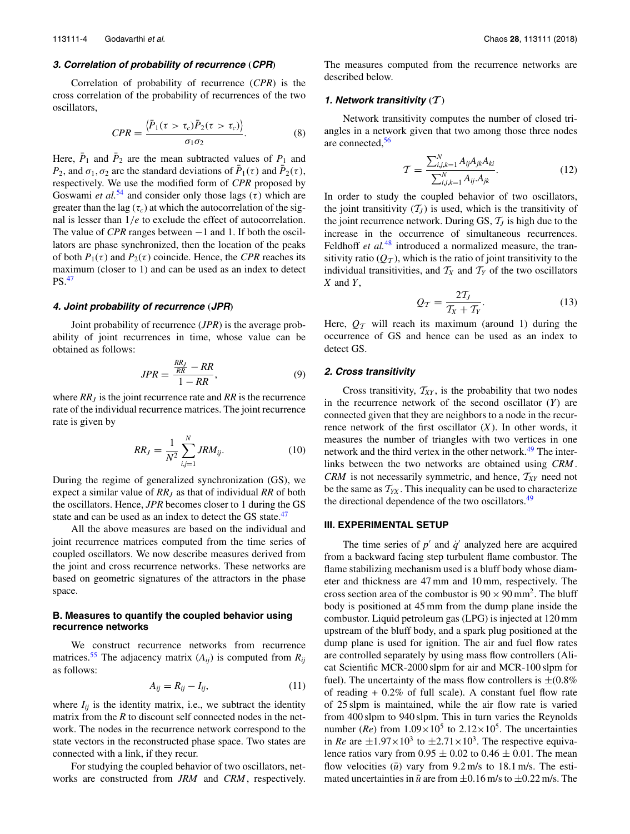# **3. Correlation of probability of recurrence** (**CPR**)

Correlation of probability of recurrence (*CPR*) is the cross correlation of the probability of recurrences of the two oscillators,

$$
CPR = \frac{\langle \bar{P}_1(\tau > \tau_c) \bar{P}_2(\tau > \tau_c) \rangle}{\sigma_1 \sigma_2}.
$$
 (8)

Here,  $\bar{P}_1$  and  $\bar{P}_2$  are the mean subtracted values of  $P_1$  and *P*<sub>2</sub>, and  $\sigma_1$ ,  $\sigma_2$  are the standard deviations of  $\bar{P}_1(\tau)$  and  $\bar{P}_2(\tau)$ , respectively. We use the modified form of *CPR* proposed by Goswami *et al.*<sup>54</sup> and consider only those lags  $(\tau)$  which are greater than the lag  $(\tau_c)$  at which the autocorrelation of the signal is lesser than 1/*e* to exclude the effect of autocorrelation. The value of *CPR* ranges between −1 and 1. If both the oscillators are phase synchronized, then the location of the peaks of both  $P_1(\tau)$  and  $P_2(\tau)$  coincide. Hence, the *CPR* reaches its maximum (closer to 1) and can be used as an index to detect PS.<sup>47</sup>

#### **4. Joint probability of recurrence** (**JPR**)

Joint probability of recurrence (*JPR*) is the average probability of joint recurrences in time, whose value can be obtained as follows:

$$
JPR = \frac{\frac{RR_J}{RR} - RR}{1 - RR},\tag{9}
$$

where *RR<sup>J</sup>* is the joint recurrence rate and *RR* is the recurrence rate of the individual recurrence matrices. The joint recurrence rate is given by

$$
RR_J = \frac{1}{N^2} \sum_{i,j=1}^{N} JRM_{ij}.
$$
 (10)

During the regime of generalized synchronization (GS), we expect a similar value of *RR<sup>J</sup>* as that of individual *RR* of both the oscillators. Hence, *JPR* becomes closer to 1 during the GS state and can be used as an index to detect the GS state.<sup>47</sup>

All the above measures are based on the individual and joint recurrence matrices computed from the time series of coupled oscillators. We now describe measures derived from the joint and cross recurrence networks. These networks are based on geometric signatures of the attractors in the phase space.

# **B. Measures to quantify the coupled behavior using recurrence networks**

We construct recurrence networks from recurrence matrices.<sup>55</sup> The adjacency matrix  $(A_{ii})$  is computed from  $R_{ii}$ as follows:

$$
A_{ij} = R_{ij} - I_{ij},\tag{11}
$$

where  $I_{ii}$  is the identity matrix, i.e., we subtract the identity matrix from the *R* to discount self connected nodes in the network. The nodes in the recurrence network correspond to the state vectors in the reconstructed phase space. Two states are connected with a link, if they recur.

For studying the coupled behavior of two oscillators, networks are constructed from *JRM* and *CRM*, respectively. The measures computed from the recurrence networks are described below.

#### **1.** Network transitivity  $(T)$

Network transitivity computes the number of closed triangles in a network given that two among those three nodes are connected,<sup>56</sup>

$$
\mathcal{T} = \frac{\sum_{i,j,k=1}^{N} A_{ij} A_{jk} A_{ki}}{\sum_{i,j,k=1}^{N} A_{ij} A_{jk}}.
$$
\n(12)

In order to study the coupled behavior of two oscillators, the joint transitivity  $(T_J)$  is used, which is the transitivity of the joint recurrence network. During GS,  $\mathcal{T}_J$  is high due to the increase in the occurrence of simultaneous recurrences. Feldhoff *et al.*<sup>48</sup> introduced a normalized measure, the transitivity ratio  $(Q_T)$ , which is the ratio of joint transitivity to the individual transitivities, and  $T_X$  and  $T_Y$  of the two oscillators *X* and *Y*,

$$
Q_{\mathcal{T}} = \frac{2\mathcal{T}_J}{\mathcal{T}_X + \mathcal{T}_Y}.\tag{13}
$$

Here,  $Q_T$  will reach its maximum (around 1) during the occurrence of GS and hence can be used as an index to detect GS.

#### **2. Cross transitivity**

Cross transitivity,  $T_{XY}$ , is the probability that two nodes in the recurrence network of the second oscillator (*Y*) are connected given that they are neighbors to a node in the recurrence network of the first oscillator (*X*). In other words, it measures the number of triangles with two vertices in one network and the third vertex in the other network.<sup>49</sup> The interlinks between the two networks are obtained using *CRM*. *CRM* is not necessarily symmetric, and hence, T*XY* need not be the same as  $T_{YX}$ . This inequality can be used to characterize the directional dependence of the two oscillators.<sup>49</sup>

### **III. EXPERIMENTAL SETUP**

The time series of  $p'$  and  $\dot{q}'$  analyzed here are acquired from a backward facing step turbulent flame combustor. The flame stabilizing mechanism used is a bluff body whose diameter and thickness are 47 mm and 10 mm, respectively. The cross section area of the combustor is  $90 \times 90$  mm<sup>2</sup>. The bluff body is positioned at 45 mm from the dump plane inside the combustor. Liquid petroleum gas (LPG) is injected at 120 mm upstream of the bluff body, and a spark plug positioned at the dump plane is used for ignition. The air and fuel flow rates are controlled separately by using mass flow controllers (Alicat Scientific MCR-2000 slpm for air and MCR-100 slpm for fuel). The uncertainty of the mass flow controllers is  $\pm (0.8\%$ of reading  $+0.2\%$  of full scale). A constant fuel flow rate of 25 slpm is maintained, while the air flow rate is varied from 400 slpm to 940 slpm. This in turn varies the Reynolds number (*Re*) from  $1.09 \times 10^5$  to  $2.12 \times 10^5$ . The uncertainties in *Re* are  $\pm 1.97 \times 10^3$  to  $\pm 2.71 \times 10^3$ . The respective equivalence ratios vary from  $0.95 \pm 0.02$  to  $0.46 \pm 0.01$ . The mean flow velocities  $(\bar{u})$  vary from 9.2 m/s to 18.1 m/s. The estimated uncertainties in  $\bar{u}$  are from  $\pm 0.16$  m/s to  $\pm 0.22$  m/s. The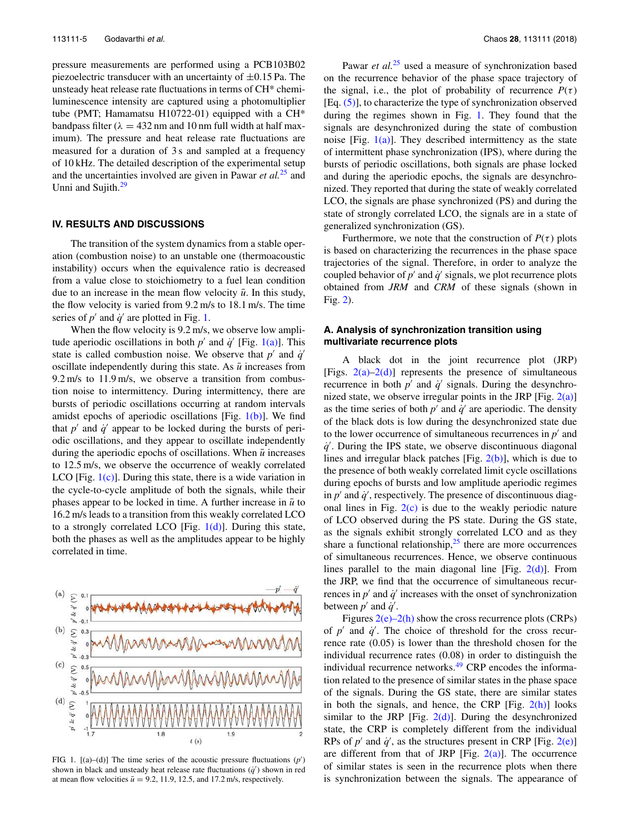pressure measurements are performed using a PCB103B02 piezoelectric transducer with an uncertainty of  $\pm 0.15$  Pa. The unsteady heat release rate fluctuations in terms of CH\* chemiluminescence intensity are captured using a photomultiplier tube (PMT; Hamamatsu H10722-01) equipped with a CH\* bandpass filter ( $\lambda = 432$  nm and 10 nm full width at half maximum). The pressure and heat release rate fluctuations are measured for a duration of 3 s and sampled at a frequency of 10 kHz. The detailed description of the experimental setup and the uncertainties involved are given in Pawar *et al.*<sup>25</sup> and Unni and Sujith.<sup>29</sup>

#### **IV. RESULTS AND DISCUSSIONS**

The transition of the system dynamics from a stable operation (combustion noise) to an unstable one (thermoacoustic instability) occurs when the equivalence ratio is decreased from a value close to stoichiometry to a fuel lean condition due to an increase in the mean flow velocity  $\bar{u}$ . In this study, the flow velocity is varied from 9.2 m/s to 18.1 m/s. The time series of  $p'$  and  $q'$  are plotted in Fig. 1.

When the flow velocity is 9.2 m/s, we observe low amplitude aperiodic oscillations in both  $p'$  and  $\dot{q}'$  [Fig. 1(a)]. This state is called combustion noise. We observe that  $p'$  and  $\dot{q}'$ oscillate independently during this state. As  $\bar{u}$  increases from 9.2 m/s to 11.9 m/s, we observe a transition from combustion noise to intermittency. During intermittency, there are bursts of periodic oscillations occurring at random intervals amidst epochs of aperiodic oscillations [Fig.  $1(b)$ ]. We find that  $p'$  and  $\dot{q}'$  appear to be locked during the bursts of periodic oscillations, and they appear to oscillate independently during the aperiodic epochs of oscillations. When  $\bar{u}$  increases to 12.5 m/s, we observe the occurrence of weakly correlated LCO [Fig.  $1(c)$ ]. During this state, there is a wide variation in the cycle-to-cycle amplitude of both the signals, while their phases appear to be locked in time. A further increase in  $\bar{u}$  to 16.2 m/s leads to a transition from this weakly correlated LCO to a strongly correlated LCO [Fig.  $1(d)$ ]. During this state, both the phases as well as the amplitudes appear to be highly correlated in time.



FIG. 1.  $[(a)-(d)]$  The time series of the acoustic pressure fluctuations  $(p')$ shown in black and unsteady heat release rate fluctuations  $(\dot{q}')$  shown in red at mean flow velocities  $\bar{u} = 9.2$ , 11.9, 12.5, and 17.2 m/s, respectively.

Pawar *et al.*<sup>25</sup> used a measure of synchronization based on the recurrence behavior of the phase space trajectory of the signal, i.e., the plot of probability of recurrence  $P(\tau)$  $[Eq. (5)]$ , to characterize the type of synchronization observed during the regimes shown in Fig. 1. They found that the signals are desynchronized during the state of combustion noise [Fig.  $1(a)$ ]. They described intermittency as the state of intermittent phase synchronization (IPS), where during the bursts of periodic oscillations, both signals are phase locked and during the aperiodic epochs, the signals are desynchronized. They reported that during the state of weakly correlated LCO, the signals are phase synchronized (PS) and during the state of strongly correlated LCO, the signals are in a state of generalized synchronization (GS).

Furthermore, we note that the construction of  $P(\tau)$  plots is based on characterizing the recurrences in the phase space trajectories of the signal. Therefore, in order to analyze the coupled behavior of  $p'$  and  $\dot{q}'$  signals, we plot recurrence plots obtained from *JRM* and *CRM* of these signals (shown in Fig. 2).

# **A. Analysis of synchronization transition using multivariate recurrence plots**

A black dot in the joint recurrence plot (JRP) [Figs.  $2(a)-2(d)$ ] represents the presence of simultaneous recurrence in both  $p'$  and  $\dot{q}'$  signals. During the desynchronized state, we observe irregular points in the JRP [Fig.  $2(a)$ ] as the time series of both  $p'$  and  $\dot{q}'$  are aperiodic. The density of the black dots is low during the desynchronized state due to the lower occurrence of simultaneous recurrences in  $p'$  and  $\dot{q}$ . During the IPS state, we observe discontinuous diagonal lines and irregular black patches [Fig. 2(b)], which is due to the presence of both weakly correlated limit cycle oscillations during epochs of bursts and low amplitude aperiodic regimes in  $p'$  and  $\dot{q}'$ , respectively. The presence of discontinuous diagonal lines in Fig.  $2(c)$  is due to the weakly periodic nature of LCO observed during the PS state. During the GS state, as the signals exhibit strongly correlated LCO and as they share a functional relationship, $2<sup>5</sup>$  there are more occurrences of simultaneous recurrences. Hence, we observe continuous lines parallel to the main diagonal line [Fig.  $2(d)$ ]. From the JRP, we find that the occurrence of simultaneous recurrences in  $p'$  and  $\dot{q}'$  increases with the onset of synchronization between  $p'$  and  $q'$ .

Figures  $2(e)$ –2(h) show the cross recurrence plots (CRPs) of  $p'$  and  $\dot{q}'$ . The choice of threshold for the cross recurrence rate (0.05) is lower than the threshold chosen for the individual recurrence rates (0.08) in order to distinguish the individual recurrence networks.<sup>49</sup> CRP encodes the information related to the presence of similar states in the phase space of the signals. During the GS state, there are similar states in both the signals, and hence, the CRP [Fig.  $2(h)$ ] looks similar to the JRP [Fig.  $2(d)$ ]. During the desynchronized state, the CRP is completely different from the individual RPs of  $p'$  and  $\dot{q}'$ , as the structures present in CRP [Fig. 2(e)] are different from that of JRP [Fig.  $2(a)$ ]. The occurrence of similar states is seen in the recurrence plots when there is synchronization between the signals. The appearance of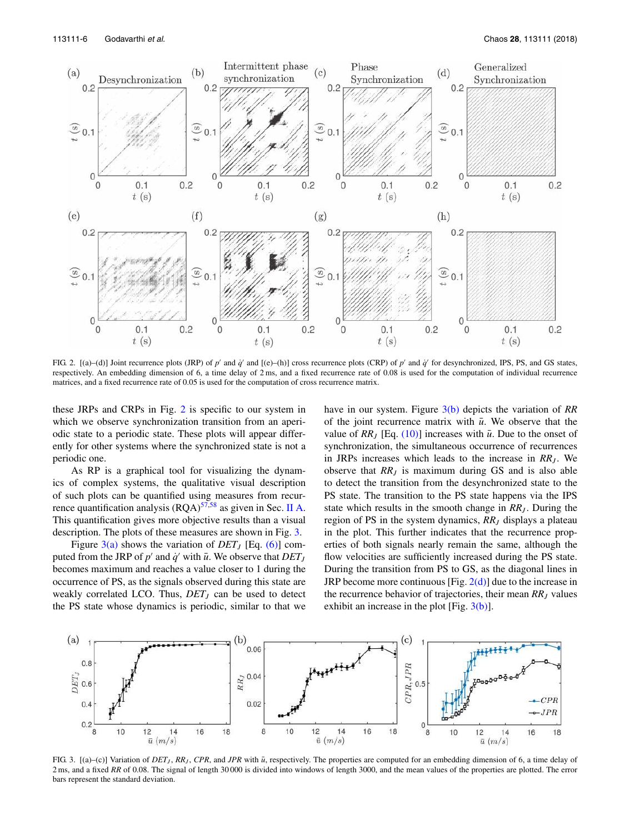

FIG. 2. [(a)–(d)] Joint recurrence plots (JRP) of  $p'$  and  $\dot{q}'$  and [(e)–(h)] cross recurrence plots (CRP) of  $p'$  and  $\dot{q}'$  for desynchronized, IPS, PS, and GS states, respectively. An embedding dimension of 6, a time delay of 2 ms, and a fixed recurrence rate of 0.08 is used for the computation of individual recurrence matrices, and a fixed recurrence rate of 0.05 is used for the computation of cross recurrence matrix.

these JRPs and CRPs in Fig. 2 is specific to our system in which we observe synchronization transition from an aperiodic state to a periodic state. These plots will appear differently for other systems where the synchronized state is not a periodic one.

As RP is a graphical tool for visualizing the dynamics of complex systems, the qualitative visual description of such plots can be quantified using measures from recurrence quantification analysis  $(RQA)^{57,58}$  as given in Sec. II A. This quantification gives more objective results than a visual description. The plots of these measures are shown in Fig. 3.

Figure  $3(a)$  shows the variation of *DET<sub>J</sub>* [Eq. (6)] computed from the JRP of  $p'$  and  $\dot{q}'$  with  $\bar{u}$ . We observe that  $DET_J$ becomes maximum and reaches a value closer to 1 during the occurrence of PS, as the signals observed during this state are weakly correlated LCO. Thus, *DET<sup>J</sup>* can be used to detect the PS state whose dynamics is periodic, similar to that we have in our system. Figure 3(b) depicts the variation of *RR* of the joint recurrence matrix with  $\bar{u}$ . We observe that the value of  $RR_J$  [Eq. (10)] increases with  $\bar{u}$ . Due to the onset of synchronization, the simultaneous occurrence of recurrences in JRPs increases which leads to the increase in *RR<sub>J</sub>*. We observe that *RR<sup>J</sup>* is maximum during GS and is also able to detect the transition from the desynchronized state to the PS state. The transition to the PS state happens via the IPS state which results in the smooth change in *RR<sup>J</sup>* . During the region of PS in the system dynamics, *RR<sup>J</sup>* displays a plateau in the plot. This further indicates that the recurrence properties of both signals nearly remain the same, although the flow velocities are sufficiently increased during the PS state. During the transition from PS to GS, as the diagonal lines in JRP become more continuous [Fig.  $2(d)$ ] due to the increase in the recurrence behavior of trajectories, their mean *RR<sup>J</sup>* values exhibit an increase in the plot [Fig.  $3(b)$ ].



FIG. 3.  $[(a)–(c)]$  Variation of *DET<sub>J</sub>*, *RR<sub>J</sub>*, *CPR*, and *JPR* with  $\bar{u}$ , respectively. The properties are computed for an embedding dimension of 6, a time delay of 2 ms, and a fixed RR of 0.08. The signal of length 30 000 is divided into windows of length 3000, and the mean values of the properties are plotted. The error bars represent the standard deviation.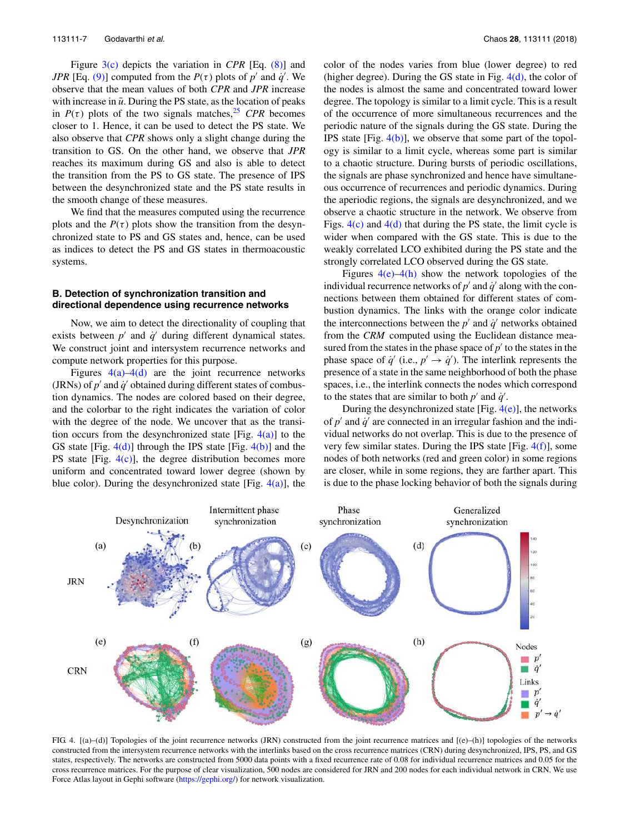Figure 3(c) depicts the variation in *CPR* [Eq. (8)] and *JPR* [Eq. (9)] computed from the  $P(\tau)$  plots of  $p'$  and  $q'$ . We observe that the mean values of both *CPR* and *JPR* increase with increase in  $\bar{u}$ . During the PS state, as the location of peaks in  $P(\tau)$  plots of the two signals matches,<sup>25</sup> *CPR* becomes closer to 1. Hence, it can be used to detect the PS state. We also observe that *CPR* shows only a slight change during the transition to GS. On the other hand, we observe that *JPR* reaches its maximum during GS and also is able to detect the transition from the PS to GS state. The presence of IPS between the desynchronized state and the PS state results in the smooth change of these measures.

We find that the measures computed using the recurrence plots and the  $P(\tau)$  plots show the transition from the desynchronized state to PS and GS states and, hence, can be used as indices to detect the PS and GS states in thermoacoustic systems.

## **B. Detection of synchronization transition and directional dependence using recurrence networks**

Now, we aim to detect the directionality of coupling that exists between  $p'$  and  $\dot{q}'$  during different dynamical states. We construct joint and intersystem recurrence networks and compute network properties for this purpose.

Figures  $4(a) - 4(d)$  are the joint recurrence networks (JRNs) of  $p'$  and  $\dot{q}'$  obtained during different states of combustion dynamics. The nodes are colored based on their degree, and the colorbar to the right indicates the variation of color with the degree of the node. We uncover that as the transition occurs from the desynchronized state [Fig.  $4(a)$ ] to the GS state [Fig.  $4(d)$ ] through the IPS state [Fig.  $4(b)$ ] and the PS state [Fig.  $4(c)$ ], the degree distribution becomes more uniform and concentrated toward lower degree (shown by blue color). During the desynchronized state [Fig.  $4(a)$ ], the color of the nodes varies from blue (lower degree) to red (higher degree). During the GS state in Fig.  $4(d)$ , the color of the nodes is almost the same and concentrated toward lower degree. The topology is similar to a limit cycle. This is a result of the occurrence of more simultaneous recurrences and the periodic nature of the signals during the GS state. During the IPS state  $[Fig. 4(b)]$ , we observe that some part of the topology is similar to a limit cycle, whereas some part is similar to a chaotic structure. During bursts of periodic oscillations, the signals are phase synchronized and hence have simultaneous occurrence of recurrences and periodic dynamics. During the aperiodic regions, the signals are desynchronized, and we observe a chaotic structure in the network. We observe from Figs.  $4(c)$  and  $4(d)$  that during the PS state, the limit cycle is wider when compared with the GS state. This is due to the weakly correlated LCO exhibited during the PS state and the strongly correlated LCO observed during the GS state.

Figures  $4(e)$ –4(h) show the network topologies of the individual recurrence networks of  $p'$  and  $\dot{q}'$  along with the connections between them obtained for different states of combustion dynamics. The links with the orange color indicate the interconnections between the  $p'$  and  $\dot{q}'$  networks obtained from the *CRM* computed using the Euclidean distance measured from the states in the phase space of  $p'$  to the states in the phase space of  $\dot{q}'$  (i.e.,  $p' \rightarrow \dot{q}'$ ). The interlink represents the presence of a state in the same neighborhood of both the phase spaces, i.e., the interlink connects the nodes which correspond to the states that are similar to both  $p'$  and  $\dot{q}'$ .

During the desynchronized state [Fig.  $4(e)$ ], the networks of  $p'$  and  $\dot{q}'$  are connected in an irregular fashion and the individual networks do not overlap. This is due to the presence of very few similar states. During the IPS state [Fig.  $4(f)$ ], some nodes of both networks (red and green color) in some regions are closer, while in some regions, they are farther apart. This is due to the phase locking behavior of both the signals during



FIG. 4. [(a)–(d)] Topologies of the joint recurrence networks (JRN) constructed from the joint recurrence matrices and [(e)–(h)] topologies of the networks constructed from the intersystem recurrence networks with the interlinks based on the cross recurrence matrices (CRN) during desynchronized, IPS, PS, and GS states, respectively. The networks are constructed from 5000 data points with a fixed recurrence rate of 0.08 for individual recurrence matrices and 0.05 for the cross recurrence matrices. For the purpose of clear visualization, 500 nodes are considered for JRN and 200 nodes for each individual network in CRN. We use Force Atlas layout in Gephi software (https://gephi.org/) for network visualization.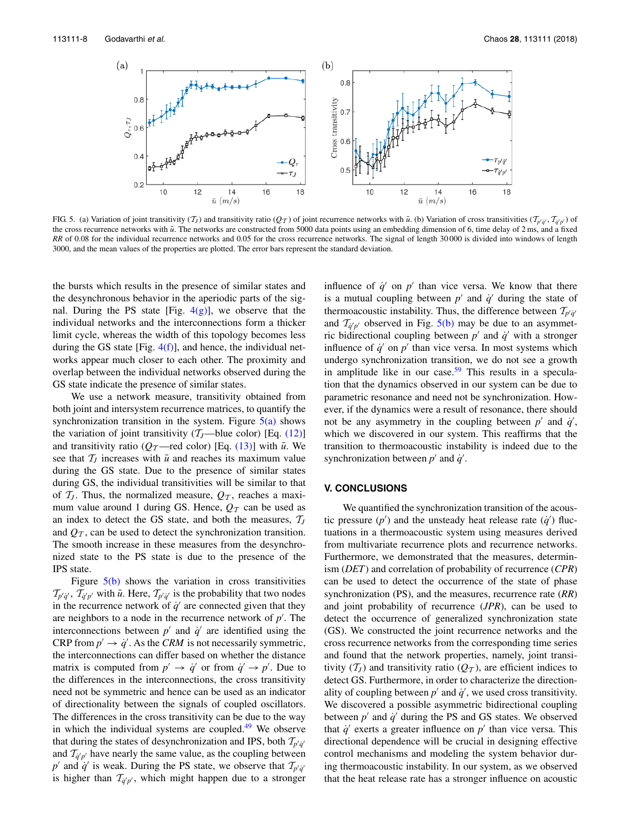

FIG 5. (a) Variation of joint transitivity  $(T_I)$  and transitivity ratio  $(Q_T)$  of joint recurrence networks with  $\bar{u}$ . (b) Variation of cross transitivities  $(T_{p'q'}, T_{\bar{q}'p'})$  of the cross recurrence networks with  $\bar{u}$ . The networks are constructed from 5000 data points using an embedding dimension of 6, time delay of 2 ms, and a fixed *RR* of 0.08 for the individual recurrence networks and 0.05 for the cross recurrence networks. The signal of length 30 000 is divided into windows of length 3000, and the mean values of the properties are plotted. The error bars represent the standard deviation.

the bursts which results in the presence of similar states and the desynchronous behavior in the aperiodic parts of the signal. During the PS state [Fig.  $4(g)$ ], we observe that the individual networks and the interconnections form a thicker limit cycle, whereas the width of this topology becomes less during the GS state [Fig.  $4(f)$ ], and hence, the individual networks appear much closer to each other. The proximity and overlap between the individual networks observed during the GS state indicate the presence of similar states.

We use a network measure, transitivity obtained from both joint and intersystem recurrence matrices, to quantify the synchronization transition in the system. Figure  $5(a)$  shows the variation of joint transitivity  $(T_J$ —blue color) [Eq. (12)] and transitivity ratio ( $Q_T$ —red color) [Eq. (13)] with  $\bar{u}$ . We see that  $\mathcal{T}_J$  increases with  $\bar{u}$  and reaches its maximum value during the GS state. Due to the presence of similar states during GS, the individual transitivities will be similar to that of  $\mathcal{T}_J$ . Thus, the normalized measure,  $\mathcal{Q}_T$ , reaches a maximum value around 1 during GS. Hence,  $Q_T$  can be used as an index to detect the GS state, and both the measures,  $T_J$ and  $Q_T$ , can be used to detect the synchronization transition. The smooth increase in these measures from the desynchronized state to the PS state is due to the presence of the IPS state.

Figure  $5(b)$  shows the variation in cross transitivities  $\mathcal{T}_{p'q'}$ ,  $\mathcal{T}_{q'p'}$  with  $\bar{u}$ . Here,  $\mathcal{T}_{p'q'}$  is the probability that two nodes in the recurrence network of  $\dot{q}$ <sup>'</sup> are connected given that they are neighbors to a node in the recurrence network of  $p'$ . The interconnections between  $p'$  and  $\dot{q}'$  are identified using the CRP from  $p' \rightarrow \dot{q}'$ . As the *CRM* is not necessarily symmetric, the interconnections can differ based on whether the distance matrix is computed from  $p' \rightarrow \dot{q}'$  or from  $\dot{q}' \rightarrow p'$ . Due to the differences in the interconnections, the cross transitivity need not be symmetric and hence can be used as an indicator of directionality between the signals of coupled oscillators. The differences in the cross transitivity can be due to the way in which the individual systems are coupled. $49$  We observe that during the states of desynchronization and IPS, both  $\mathcal{T}_{p'q'}$ and  $\mathcal{T}_{q'p'}$  have nearly the same value, as the coupling between *p*<sup>'</sup> and  $\dot{q}$ <sup>'</sup> is weak. During the PS state, we observe that  $\mathcal{T}_{p'q'}$ is higher than  $\mathcal{T}_{q'p'}$ , which might happen due to a stronger

influence of  $\dot{q}'$  on  $p'$  than vice versa. We know that there is a mutual coupling between  $p'$  and  $\dot{q}'$  during the state of thermoacoustic instability. Thus, the difference between  $\mathcal{T}_{p'q'}$ and  $T_{\dot q' p'}$  observed in Fig. 5(b) may be due to an asymmetric bidirectional coupling between  $p'$  and  $q'$  with a stronger influence of  $\dot{q}'$  on  $p'$  than vice versa. In most systems which undergo synchronization transition, we do not see a growth in amplitude like in our case.<sup>59</sup> This results in a speculation that the dynamics observed in our system can be due to parametric resonance and need not be synchronization. However, if the dynamics were a result of resonance, there should not be any asymmetry in the coupling between  $p'$  and  $\dot{q}'$ , which we discovered in our system. This reaffirms that the transition to thermoacoustic instability is indeed due to the synchronization between  $p'$  and  $\dot{q}'$ .

### **V. CONCLUSIONS**

We quantified the synchronization transition of the acoustic pressure  $(p')$  and the unsteady heat release rate  $(q')$  fluctuations in a thermoacoustic system using measures derived from multivariate recurrence plots and recurrence networks. Furthermore, we demonstrated that the measures, determinism (*DET*) and correlation of probability of recurrence (*CPR*) can be used to detect the occurrence of the state of phase synchronization (PS), and the measures, recurrence rate (*RR*) and joint probability of recurrence (*JPR*), can be used to detect the occurrence of generalized synchronization state (GS). We constructed the joint recurrence networks and the cross recurrence networks from the corresponding time series and found that the network properties, namely, joint transitivity  $(T_J)$  and transitivity ratio  $(Q_T)$ , are efficient indices to detect GS. Furthermore, in order to characterize the directionality of coupling between  $p'$  and  $\dot{q}'$ , we used cross transitivity. We discovered a possible asymmetric bidirectional coupling between  $p'$  and  $\dot{q}'$  during the PS and GS states. We observed that  $\dot{q}$ <sup>'</sup> exerts a greater influence on  $p'$  than vice versa. This directional dependence will be crucial in designing effective control mechanisms and modeling the system behavior during thermoacoustic instability. In our system, as we observed that the heat release rate has a stronger influence on acoustic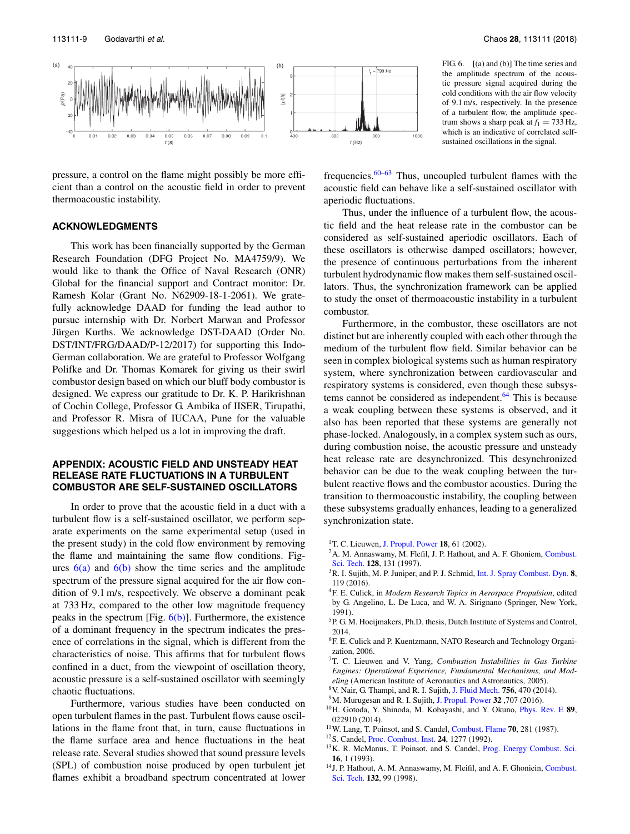

pressure, a control on the flame might possibly be more efficient than a control on the acoustic field in order to prevent thermoacoustic instability.

### **ACKNOWLEDGMENTS**

This work has been financially supported by the German Research Foundation (DFG Project No. MA4759/9). We would like to thank the Office of Naval Research (ONR) Global for the financial support and Contract monitor: Dr. Ramesh Kolar (Grant No. N62909-18-1-2061). We gratefully acknowledge DAAD for funding the lead author to pursue internship with Dr. Norbert Marwan and Professor Jürgen Kurths. We acknowledge DST-DAAD (Order No. DST/INT/FRG/DAAD/P-12/2017) for supporting this Indo-German collaboration. We are grateful to Professor Wolfgang Polifke and Dr. Thomas Komarek for giving us their swirl combustor design based on which our bluff body combustor is designed. We express our gratitude to Dr. K. P. Harikrishnan of Cochin College, Professor G. Ambika of IISER, Tirupathi, and Professor R. Misra of IUCAA, Pune for the valuable suggestions which helped us a lot in improving the draft.

# **APPENDIX: ACOUSTIC FIELD AND UNSTEADY HEAT RELEASE RATE FLUCTUATIONS IN A TURBULENT COMBUSTOR ARE SELF-SUSTAINED OSCILLATORS**

In order to prove that the acoustic field in a duct with a turbulent flow is a self-sustained oscillator, we perform separate experiments on the same experimental setup (used in the present study) in the cold flow environment by removing the flame and maintaining the same flow conditions. Figures  $6(a)$  and  $6(b)$  show the time series and the amplitude spectrum of the pressure signal acquired for the air flow condition of 9.1 m/s, respectively. We observe a dominant peak at 733 Hz, compared to the other low magnitude frequency peaks in the spectrum [Fig.  $6(b)$ ]. Furthermore, the existence of a dominant frequency in the spectrum indicates the presence of correlations in the signal, which is different from the characteristics of noise. This affirms that for turbulent flows confined in a duct, from the viewpoint of oscillation theory, acoustic pressure is a self-sustained oscillator with seemingly chaotic fluctuations.

Furthermore, various studies have been conducted on open turbulent flames in the past. Turbulent flows cause oscillations in the flame front that, in turn, cause fluctuations in the flame surface area and hence fluctuations in the heat release rate. Several studies showed that sound pressure levels (SPL) of combustion noise produced by open turbulent jet flames exhibit a broadband spectrum concentrated at lower

FIG. 6. [(a) and (b)] The time series and the amplitude spectrum of the acoustic pressure signal acquired during the cold conditions with the air flow velocity of 9.1 m/s, respectively. In the presence of a turbulent flow, the amplitude spectrum shows a sharp peak at  $f_1 = 733$  Hz, which is an indicative of correlated selfsustained oscillations in the signal.

frequencies. $60-63$  Thus, uncoupled turbulent flames with the acoustic field can behave like a self-sustained oscillator with aperiodic fluctuations.

Thus, under the influence of a turbulent flow, the acoustic field and the heat release rate in the combustor can be considered as self-sustained aperiodic oscillators. Each of these oscillators is otherwise damped oscillators; however, the presence of continuous perturbations from the inherent turbulent hydrodynamic flow makes them self-sustained oscillators. Thus, the synchronization framework can be applied to study the onset of thermoacoustic instability in a turbulent combustor.

Furthermore, in the combustor, these oscillators are not distinct but are inherently coupled with each other through the medium of the turbulent flow field. Similar behavior can be seen in complex biological systems such as human respiratory system, where synchronization between cardiovascular and respiratory systems is considered, even though these subsystems cannot be considered as independent. $64$  This is because a weak coupling between these systems is observed, and it also has been reported that these systems are generally not phase-locked. Analogously, in a complex system such as ours, during combustion noise, the acoustic pressure and unsteady heat release rate are desynchronized. This desynchronized behavior can be due to the weak coupling between the turbulent reactive flows and the combustor acoustics. During the transition to thermoacoustic instability, the coupling between these subsystems gradually enhances, leading to a generalized synchronization state.

- <sup>1</sup>T. C. Lieuwen, J. Propul. Power **18**, 61 (2002).
- <sup>2</sup>A. M. Annaswamy, M. Flefil, J. P. Hathout, and A. F. Ghoniem, Combust. Sci. Tech. **128**, 131 (1997).
- <sup>3</sup>R. I. Sujith, M. P. Juniper, and P. J. Schmid, Int. J. Spray Combust. Dyn. **8**, 119 (2016).
- <sup>4</sup>F. E. Culick, in *Modern Research Topics in Aerospace Propulsion*, edited by G. Angelino, L. De Luca, and W. A. Sirignano (Springer, New York, 1991).
- <sup>5</sup>P. G. M. Hoeijmakers, Ph.D. thesis, Dutch Institute of Systems and Control, 2014.
- <sup>6</sup>F. E. Culick and P. Kuentzmann, NATO Research and Technology Organization, 2006.
- <sup>7</sup>T. C. Lieuwen and V. Yang, *Combustion Instabilities in Gas Turbine Engines: Operational Experience, Fundamental Mechanisms, and Modeling* (American Institute of Aeronautics and Astronautics, 2005).
- <sup>8</sup>V. Nair, G. Thampi, and R. I. Sujith, J. Fluid Mech. **756**, 470 (2014).
- <sup>9</sup>M. Murugesan and R. I. Sujith, J. Propul. Power **32** ,707 (2016).
- <sup>10</sup>H. Gotoda, Y. Shinoda, M. Kobayashi, and Y. Okuno, Phys. Rev. E **89**, 022910 (2014).
- <sup>11</sup>W. Lang, T. Poinsot, and S. Candel, Combust. Flame **70**, 281 (1987).
- <sup>12</sup>S. Candel, Proc. Combust. Inst. **24**, 1277 (1992).
- <sup>13</sup>K. R. McManus, T. Poinsot, and S. Candel, Prog. Energy Combust. Sci. **16**, 1 (1993).
- <sup>14</sup>J. P. Hathout, A. M. Annaswamy, M. Fleifil, and A. F. Ghoniein, Combust. Sci. Tech. **132**, 99 (1998).